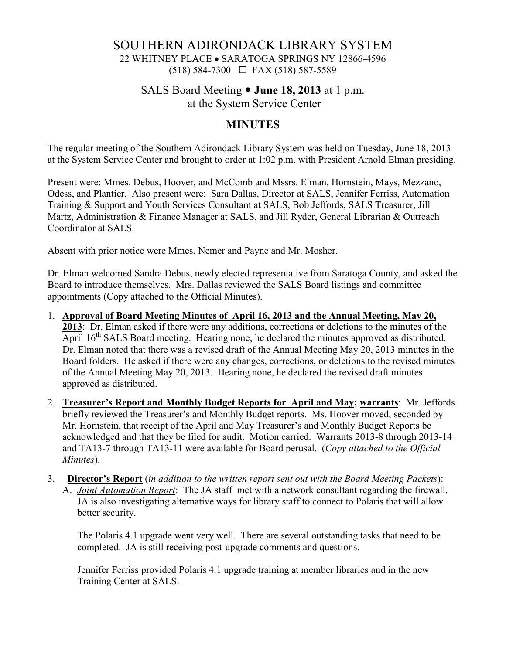# SOUTHERN ADIRONDACK LIBRARY SYSTEM 22 WHITNEY PLACE • SARATOGA SPRINGS NY 12866-4596  $(518) 584-7300 \square$  FAX (518) 587-5589

## SALS Board Meeting **June 18, 2013** at 1 p.m. at the System Service Center

## **MINUTES**

The regular meeting of the Southern Adirondack Library System was held on Tuesday, June 18, 2013 at the System Service Center and brought to order at 1:02 p.m. with President Arnold Elman presiding.

Present were: Mmes. Debus, Hoover, and McComb and Mssrs. Elman, Hornstein, Mays, Mezzano, Odess, and Plantier. Also present were: Sara Dallas, Director at SALS, Jennifer Ferriss, Automation Training & Support and Youth Services Consultant at SALS, Bob Jeffords, SALS Treasurer, Jill Martz, Administration & Finance Manager at SALS, and Jill Ryder, General Librarian & Outreach Coordinator at SALS.

Absent with prior notice were Mmes. Nemer and Payne and Mr. Mosher.

Dr. Elman welcomed Sandra Debus, newly elected representative from Saratoga County, and asked the Board to introduce themselves. Mrs. Dallas reviewed the SALS Board listings and committee appointments (Copy attached to the Official Minutes).

- 1. **Approval of Board Meeting Minutes of April 16, 2013 and the Annual Meeting, May 20, 2013**: Dr. Elman asked if there were any additions, corrections or deletions to the minutes of the April  $16<sup>th</sup> SALS$  Board meeting. Hearing none, he declared the minutes approved as distributed. Dr. Elman noted that there was a revised draft of the Annual Meeting May 20, 2013 minutes in the Board folders. He asked if there were any changes, corrections, or deletions to the revised minutes of the Annual Meeting May 20, 2013. Hearing none, he declared the revised draft minutes approved as distributed.
- 2. **Treasurer's Report and Monthly Budget Reports for April and May; warrants**: Mr. Jeffords briefly reviewed the Treasurer's and Monthly Budget reports. Ms. Hoover moved, seconded by Mr. Hornstein, that receipt of the April and May Treasurer's and Monthly Budget Reports be acknowledged and that they be filed for audit. Motion carried. Warrants 2013-8 through 2013-14 and TA13-7 through TA13-11 were available for Board perusal. (*Copy attached to the Official Minutes*).
- 3. **Director's Report** (*in addition to the written report sent out with the Board Meeting Packets*): A. *Joint Automation Report*: The JA staff met with a network consultant regarding the firewall. JA is also investigating alternative ways for library staff to connect to Polaris that will allow better security.

 The Polaris 4.1 upgrade went very well. There are several outstanding tasks that need to be completed. JA is still receiving post-upgrade comments and questions.

Jennifer Ferriss provided Polaris 4.1 upgrade training at member libraries and in the new Training Center at SALS.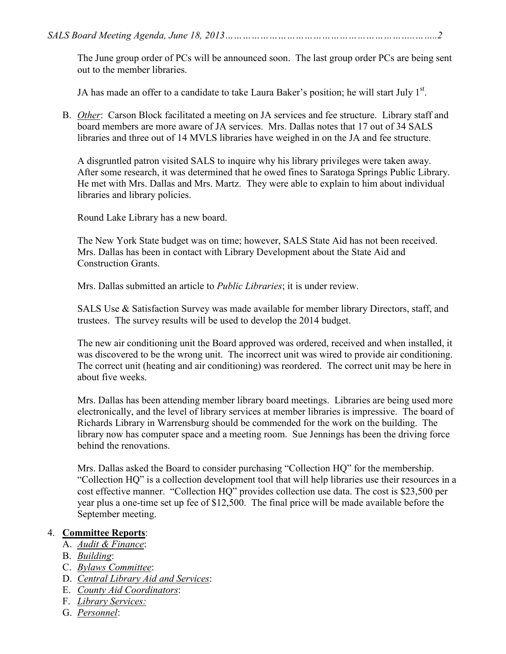The June group order of PCs will be announced soon. The last group order PCs are being sent out to the member libraries.

JA has made an offer to a candidate to take Laura Baker's position; he will start July 1<sup>st</sup>.

B. *Other*: Carson Block facilitated a meeting on JA services and fee structure. Library staff and board members are more aware of JA services. Mrs. Dallas notes that 17 out of 34 SALS libraries and three out of 14 MVLS libraries have weighed in on the JA and fee structure.

A disgruntled patron visited SALS to inquire why his library privileges were taken away. After some research, it was determined that he owed fines to Saratoga Springs Public Library. He met with Mrs. Dallas and Mrs. Martz. They were able to explain to him about individual libraries and library policies.

Round Lake Library has a new board.

The New York State budget was on time; however, SALS State Aid has not been received. Mrs. Dallas has been in contact with Library Development about the State Aid and Construction Grants.

Mrs. Dallas submitted an article to *Public Libraries*; it is under review.

SALS Use & Satisfaction Survey was made available for member library Directors, staff, and trustees. The survey results will be used to develop the 2014 budget.

The new air conditioning unit the Board approved was ordered, received and when installed, it was discovered to be the wrong unit. The incorrect unit was wired to provide air conditioning. The correct unit (heating and air conditioning) was reordered. The correct unit may be here in about five weeks.

Mrs. Dallas has been attending member library board meetings. Libraries are being used more electronically, and the level of library services at member libraries is impressive. The board of Richards Library in Warrensburg should be commended for the work on the building. The library now has computer space and a meeting room. Sue Jennings has been the driving force behind the renovations.

Mrs. Dallas asked the Board to consider purchasing "Collection HQ" for the membership. "Collection HQ" is a collection development tool that will help libraries use their resources in a cost effective manner. "Collection HQ" provides collection use data. The cost is \$23,500 per year plus a one-time set up fee of \$12,500. The final price will be made available before the September meeting.

## 4. **Committee Reports**:

- A. *Audit & Finance*:
- B. *Building*:
- C. *Bylaws Committee*:
- D. *Central Library Aid and Services*:
- E. *County Aid Coordinators*:
- F. *Library Services:*
- G. *Personnel*: